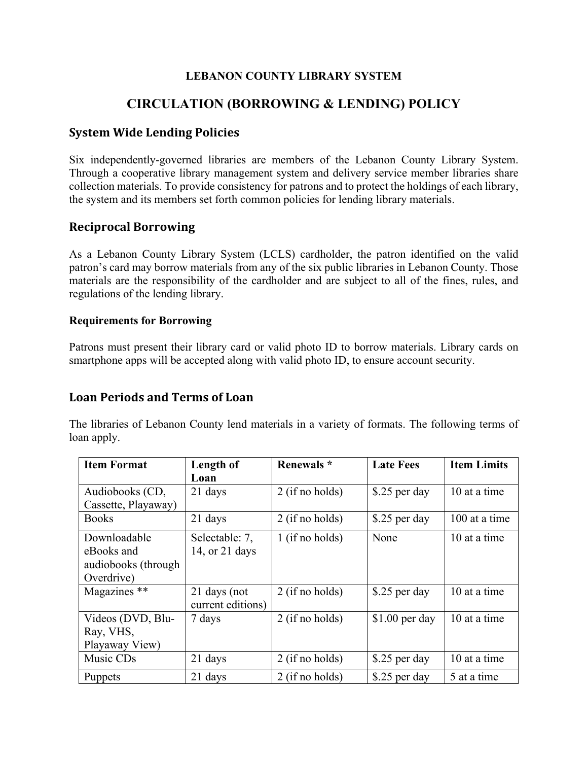#### **LEBANON COUNTY LIBRARY SYSTEM**

## **CIRCULATION (BORROWING & LENDING) POLICY**

### **System Wide Lending Policies**

Six independently-governed libraries are members of the Lebanon County Library System. Through a cooperative library management system and delivery service member libraries share collection materials. To provide consistency for patrons and to protect the holdings of each library, the system and its members set forth common policies for lending library materials.

#### **Reciprocal Borrowing**

As a Lebanon County Library System (LCLS) cardholder, the patron identified on the valid patron's card may borrow materials from any of the six public libraries in Lebanon County. Those materials are the responsibility of the cardholder and are subject to all of the fines, rules, and regulations of the lending library.

#### **Requirements for Borrowing**

Patrons must present their library card or valid photo ID to borrow materials. Library cards on smartphone apps will be accepted along with valid photo ID, to ensure account security.

#### **Loan Periods and Terms of Loan**

The libraries of Lebanon County lend materials in a variety of formats. The following terms of loan apply.

| <b>Item Format</b>  | Length of         | Renewals *        | <b>Late Fees</b> | <b>Item Limits</b> |
|---------------------|-------------------|-------------------|------------------|--------------------|
|                     | Loan              |                   |                  |                    |
| Audiobooks (CD,     | 21 days           | 2 (if no holds)   | \$.25 per day    | 10 at a time       |
| Cassette, Playaway) |                   |                   |                  |                    |
| Books               | 21 days           | 2 (if no holds)   | \$.25 per day    | 100 at a time      |
| Downloadable        | Selectable: 7,    | $1$ (if no holds) | None             | 10 at a time       |
| eBooks and          | 14, or 21 days    |                   |                  |                    |
| audiobooks (through |                   |                   |                  |                    |
| Overdrive)          |                   |                   |                  |                    |
| Magazines **        | 21 days (not      | 2 (if no holds)   | \$.25 per day    | 10 at a time       |
|                     | current editions) |                   |                  |                    |
| Videos (DVD, Blu-   | 7 days            | 2 (if no holds)   | $$1.00$ per day  | 10 at a time       |
| Ray, VHS,           |                   |                   |                  |                    |
| Playaway View)      |                   |                   |                  |                    |
| Music CDs           | 21 days           | $2$ (if no holds) | \$.25 per day    | 10 at a time       |
| Puppets             | 21 days           | 2 (if no holds)   | \$.25 per day    | 5 at a time        |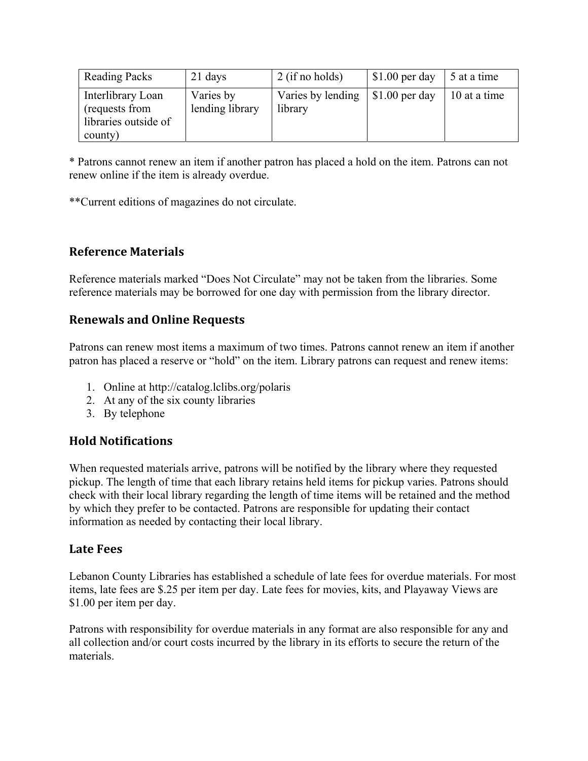| <b>Reading Packs</b>                                                   | 21 days                      | $2$ (if no holds)            | $$1.00$ per day | 5 at a time  |
|------------------------------------------------------------------------|------------------------------|------------------------------|-----------------|--------------|
| Interlibrary Loan<br>(requests from<br>libraries outside of<br>county) | Varies by<br>lending library | Varies by lending<br>library | $$1.00$ per day | 10 at a time |

\* Patrons cannot renew an item if another patron has placed a hold on the item. Patrons can not renew online if the item is already overdue.

\*\*Current editions of magazines do not circulate.

### **Reference Materials**

Reference materials marked "Does Not Circulate" may not be taken from the libraries. Some reference materials may be borrowed for one day with permission from the library director.

### **Renewals and Online Requests**

Patrons can renew most items a maximum of two times. Patrons cannot renew an item if another patron has placed a reserve or "hold" on the item. Library patrons can request and renew items:

- 1. Online at http://catalog.lclibs.org/polaris
- 2. At any of the six county libraries
- 3. By telephone

## **Hold Notifications**

When requested materials arrive, patrons will be notified by the library where they requested pickup. The length of time that each library retains held items for pickup varies. Patrons should check with their local library regarding the length of time items will be retained and the method by which they prefer to be contacted. Patrons are responsible for updating their contact information as needed by contacting their local library.

#### **Late Fees**

Lebanon County Libraries has established a schedule of late fees for overdue materials. For most items, late fees are \$.25 per item per day. Late fees for movies, kits, and Playaway Views are \$1.00 per item per day.

Patrons with responsibility for overdue materials in any format are also responsible for any and all collection and/or court costs incurred by the library in its efforts to secure the return of the materials.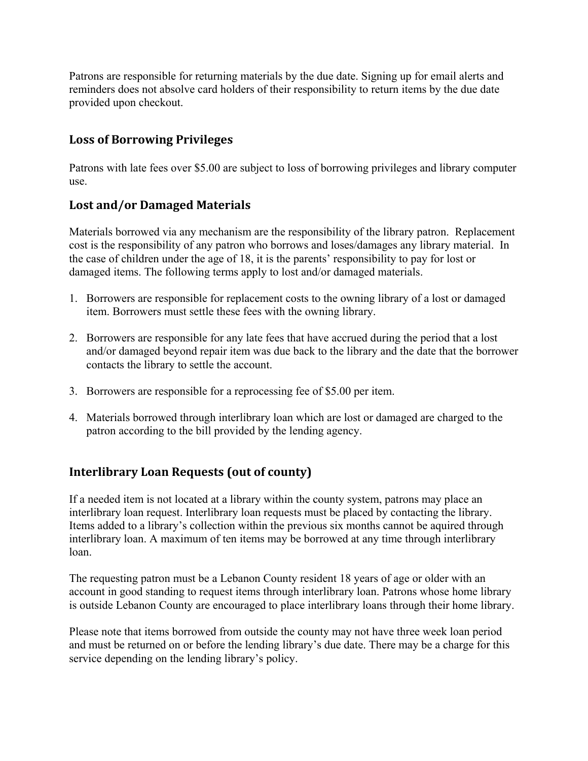Patrons are responsible for returning materials by the due date. Signing up for email alerts and reminders does not absolve card holders of their responsibility to return items by the due date provided upon checkout.

## **Loss of Borrowing Privileges**

Patrons with late fees over \$5.00 are subject to loss of borrowing privileges and library computer use.

## **Lost and/or Damaged Materials**

Materials borrowed via any mechanism are the responsibility of the library patron. Replacement cost is the responsibility of any patron who borrows and loses/damages any library material. In the case of children under the age of 18, it is the parents' responsibility to pay for lost or damaged items. The following terms apply to lost and/or damaged materials.

- 1. Borrowers are responsible for replacement costs to the owning library of a lost or damaged item. Borrowers must settle these fees with the owning library.
- 2. Borrowers are responsible for any late fees that have accrued during the period that a lost and/or damaged beyond repair item was due back to the library and the date that the borrower contacts the library to settle the account.
- 3. Borrowers are responsible for a reprocessing fee of \$5.00 per item.
- 4. Materials borrowed through interlibrary loan which are lost or damaged are charged to the patron according to the bill provided by the lending agency.

# **Interlibrary Loan Requests (out of county)**

If a needed item is not located at a library within the county system, patrons may place an interlibrary loan request. Interlibrary loan requests must be placed by contacting the library. Items added to a library's collection within the previous six months cannot be aquired through interlibrary loan. A maximum of ten items may be borrowed at any time through interlibrary loan.

The requesting patron must be a Lebanon County resident 18 years of age or older with an account in good standing to request items through interlibrary loan. Patrons whose home library is outside Lebanon County are encouraged to place interlibrary loans through their home library.

Please note that items borrowed from outside the county may not have three week loan period and must be returned on or before the lending library's due date. There may be a charge for this service depending on the lending library's policy.